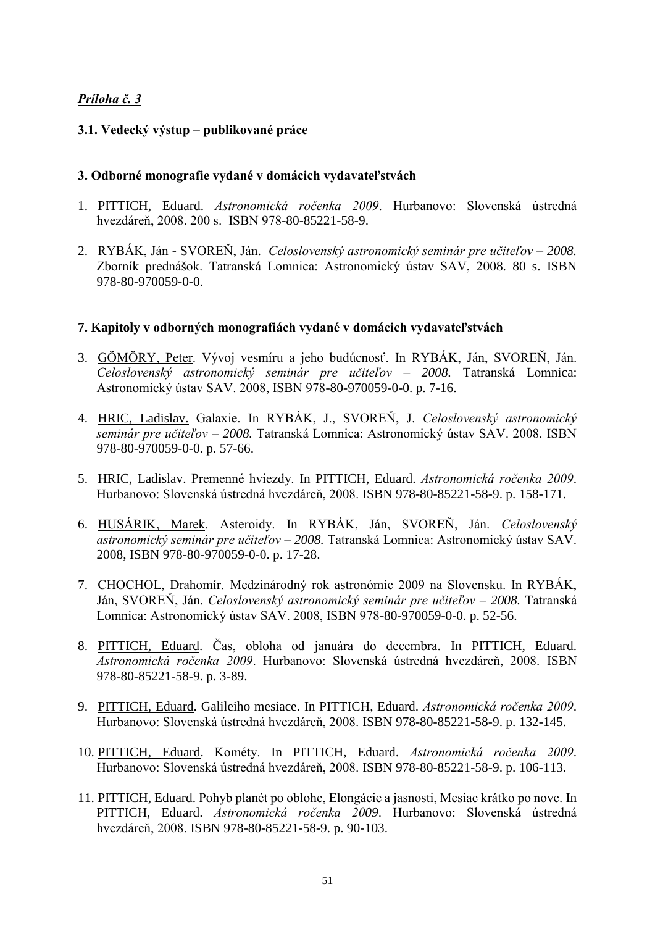# *Príloha č. 3*

### **3.1. Vedecký výstup – publikované práce**

### **3. Odborné monografie vydané v domácich vydavateľstvách**

- 1. PITTICH, Eduard. *Astronomická ročenka 2009*. Hurbanovo: Slovenská ústredná hvezdáreņ, 2008. 200 s. ISBN 978-80-85221-58-9.
- 2. RYBÁK, Ján SVOREŅ, Ján. *Celoslovenský astronomický seminár pre učiteľov – 2008.* Zborník prednášok. Tatranská Lomnica: Astronomický ústav SAV, 2008. 80 s. ISBN 978-80-970059-0-0.

## **7. Kapitoly v odborných monografiách vydané v domácich vydavateľstvách**

- 3. GÖMÖRY, Peter. Vývoj vesmíru a jeho budúcnosť. In RYBÁK, Ján, SVOREŇ, Ján. *Celoslovenský astronomický seminár pre učiteľov – 2008.* Tatranská Lomnica: Astronomický ústav SAV. 2008, ISBN 978-80-970059-0-0. p. 7-16.
- 4. HRIC, Ladislav. Galaxie. In RYBÁK, J., SVOREŅ, J. *Celoslovenský astronomický seminár pre učiteľov – 2008.* Tatranská Lomnica: Astronomický ústav SAV. 2008. ISBN 978-80-970059-0-0. p. 57-66.
- 5. HRIC, Ladislav. Premenné hviezdy. In PITTICH, Eduard. *Astronomická ročenka 2009*. Hurbanovo: Slovenská ústredná hvezdáreņ, 2008. ISBN 978-80-85221-58-9. p. 158-171.
- 6. HUSÁRIK, Marek. Asteroidy. In RYBÁK, Ján, SVOREŅ, Ján. *Celoslovenský astronomický seminár pre učiteľov – 2008.* Tatranská Lomnica: Astronomický ústav SAV. 2008, ISBN 978-80-970059-0-0. p. 17-28.
- 7. CHOCHOL, Drahomír. Medzinárodný rok astronómie 2009 na Slovensku. In RYBÁK, Ján, SVOREŅ, Ján. *Celoslovenský astronomický seminár pre učiteľov – 2008.* Tatranská Lomnica: Astronomický ústav SAV. 2008, ISBN 978-80-970059-0-0. p. 52-56.
- 8. PITTICH, Eduard. Čas, obloha od januára do decembra. In PITTICH, Eduard. *Astronomická ročenka 2009*. Hurbanovo: Slovenská ústredná hvezdáreņ, 2008. ISBN 978-80-85221-58-9. p. 3-89.
- 9. PITTICH, Eduard. Galileiho mesiace. In PITTICH, Eduard. *Astronomická ročenka 2009*. Hurbanovo: Slovenská ústredná hvezdáreņ, 2008. ISBN 978-80-85221-58-9. p. 132-145.
- 10. PITTICH, Eduard. Kométy. In PITTICH, Eduard. *Astronomická ročenka 2009*. Hurbanovo: Slovenská ústredná hvezdáreņ, 2008. ISBN 978-80-85221-58-9. p. 106-113.
- 11. PITTICH, Eduard. Pohyb planét po oblohe, Elongácie a jasnosti, Mesiac krátko po nove. In PITTICH, Eduard. *Astronomická ročenka 2009*. Hurbanovo: Slovenská ústredná hvezdáreņ, 2008. ISBN 978-80-85221-58-9. p. 90-103.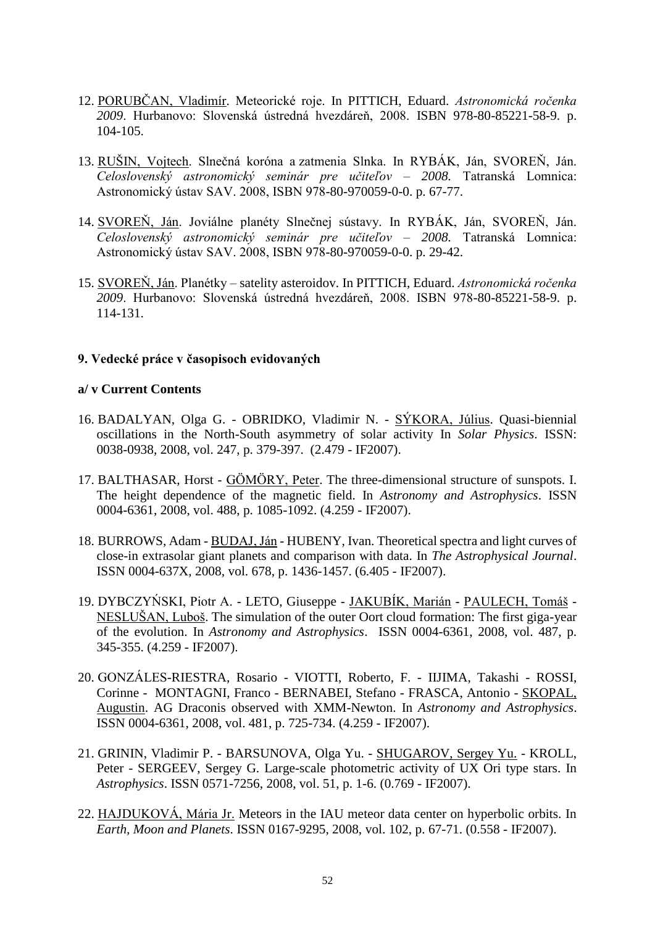- 12. PORUBČAN, Vladimír. Meteorické roje. In PITTICH, Eduard. *Astronomická ročenka 2009*. Hurbanovo: Slovenská ústredná hvezdáreņ, 2008. ISBN 978-80-85221-58-9. p. 104-105.
- 13. RUŠIN, Vojtech. Slnečná koróna a zatmenia Slnka. In RYBÁK, Ján, SVOREŇ, Ján. *Celoslovenský astronomický seminár pre učiteľov – 2008.* Tatranská Lomnica: Astronomický ústav SAV. 2008, ISBN 978-80-970059-0-0. p. 67-77.
- 14. SVOREŇ, Ján. Joviálne planéty Slnečnej sústavy. In RYBÁK, Ján, SVOREŇ, Ján. *Celoslovenský astronomický seminár pre učiteľov – 2008.* Tatranská Lomnica: Astronomický ústav SAV. 2008, ISBN 978-80-970059-0-0. p. 29-42.
- 15. SVOREŅ, Ján. Planétky satelity asteroidov. In PITTICH, Eduard. *Astronomická ročenka 2009*. Hurbanovo: Slovenská ústredná hvezdáreņ, 2008. ISBN 978-80-85221-58-9. p. 114-131.

## **9. Vedecké práce v časopisoch evidovaných**

### **a/ v Current Contents**

- 16. BADALYAN, Olga G. OBRIDKO, Vladimir N. SÝKORA, Július. Quasi-biennial oscillations in the North-South asymmetry of solar activity In *Solar Physics*. ISSN: 0038-0938, 2008, vol. 247, p. 379-397. (2.479 - IF2007).
- 17. BALTHASAR, Horst GÖMÖRY, Peter. The three-dimensional structure of sunspots. I. The height dependence of the magnetic field. In *Astronomy and Astrophysics*. ISSN 0004-6361, 2008, vol. 488, p. 1085-1092. (4.259 - IF2007).
- 18. BURROWS, Adam BUDAJ, Ján HUBENY, Ivan. Theoretical spectra and light curves of close-in extrasolar giant planets and comparison with data. In *The Astrophysical Journal*. ISSN 0004-637X, 2008, vol. 678, p. 1436-1457. (6.405 - IF2007).
- 19. DYBCZYŃSKI, Piotr A. LETO, Giuseppe JAKUBÍK, Marián PAULECH, Tomáš NESLUŠAN, Luboš. The simulation of the outer Oort cloud formation: The first giga-year of the evolution. In *Astronomy and Astrophysics*. ISSN 0004-6361, 2008, vol. 487, p. 345-355. (4.259 - IF2007).
- 20. GONZÁLES-RIESTRA, Rosario VIOTTI, Roberto, F. IIJIMA, Takashi ROSSI, Corinne - MONTAGNI, Franco - BERNABEI, Stefano - FRASCA, Antonio - SKOPAL, Augustin. AG Draconis observed with XMM-Newton. In *Astronomy and Astrophysics*. ISSN 0004-6361, 2008, vol. 481, p. 725-734. (4.259 - IF2007).
- 21. GRININ, Vladimir P. BARSUNOVA, Olga Yu. SHUGAROV, Sergey Yu. KROLL, Peter - SERGEEV, Sergey G. Large-scale photometric activity of UX Ori type stars. In *Astrophysics*. ISSN 0571-7256, 2008, vol. 51, p. 1-6. (0.769 - IF2007).
- 22. HAJDUKOVÁ, Mária Jr. Meteors in the IAU meteor data center on hyperbolic orbits. In *Earth, Moon and Planets*. ISSN 0167-9295, 2008, vol. 102, p. 67-71. (0.558 - IF2007).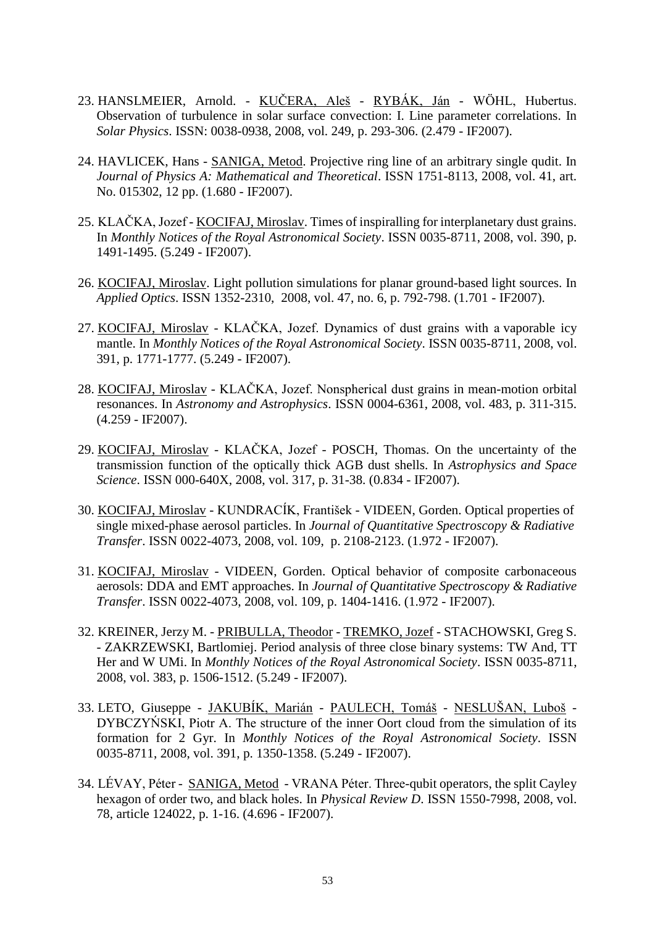- 23. HANSLMEIER, Arnold. KUČERA, Aleš RYBÁK, Ján WÖHL, Hubertus. Observation of turbulence in solar surface convection: I. Line parameter correlations. In *Solar Physics*. ISSN: 0038-0938, 2008, vol. 249, p. 293-306. (2.479 - IF2007).
- 24. HAVLICEK, Hans SANIGA, Metod. Projective ring line of an arbitrary single qudit. In *Journal of Physics A: Mathematical and Theoretical*. ISSN 1751-8113, 2008, vol. 41, art. No. 015302, 12 pp. (1.680 - IF2007).
- 25. KLAČKA, Jozef KOCIFAJ, Miroslav. Times of inspiralling for interplanetary dust grains. In *Monthly Notices of the Royal Astronomical Society*. ISSN 0035-8711, 2008, vol. 390, p. 1491-1495. (5.249 - IF2007).
- 26. KOCIFAJ, Miroslav. Light pollution simulations for planar ground-based light sources. In *Applied Optics*. ISSN 1352-2310, 2008, vol. 47, no. 6, p. 792-798. (1.701 - IF2007).
- 27. KOCIFAJ, Miroslav KLAČKA, Jozef. Dynamics of dust grains with a vaporable icy mantle. In *Monthly Notices of the Royal Astronomical Society*. ISSN 0035-8711, 2008, vol. 391, p. 1771-1777. (5.249 - IF2007).
- 28. KOCIFAJ, Miroslav KLAČKA, Jozef. Nonspherical dust grains in mean-motion orbital resonances. In *Astronomy and Astrophysics*. ISSN 0004-6361, 2008, vol. 483, p. 311-315. (4.259 - IF2007).
- 29. KOCIFAJ, Miroslav KLAČKA, Jozef POSCH, Thomas. On the uncertainty of the transmission function of the optically thick AGB dust shells. In *Astrophysics and Space Science*. ISSN 000-640X, 2008, vol. 317, p. 31-38. (0.834 - IF2007).
- 30. KOCIFAJ, Miroslav KUNDRACÍK, František VIDEEN, Gorden. Optical properties of single mixed-phase aerosol particles. In *Journal of Quantitative Spectroscopy & Radiative Transfer*. ISSN 0022-4073, 2008, vol. 109, p. 2108-2123. (1.972 - IF2007).
- 31. KOCIFAJ, Miroslav VIDEEN, Gorden. Optical behavior of composite carbonaceous aerosols: DDA and EMT approaches. In *Journal of Quantitative Spectroscopy & Radiative Transfer*. ISSN 0022-4073, 2008, vol. 109, p. 1404-1416. (1.972 - IF2007).
- 32. KREINER, Jerzy M. PRIBULLA, Theodor TREMKO, Jozef STACHOWSKI, Greg S. - ZAKRZEWSKI, Bartlomiej. Period analysis of three close binary systems: TW And, TT Her and W UMi. In *Monthly Notices of the Royal Astronomical Society*. ISSN 0035-8711, 2008, vol. 383, p. 1506-1512. (5.249 - IF2007).
- 33. LETO, Giuseppe JAKUBÍK, Marián PAULECH, Tomáš NESLUŠAN, Luboš DYBCZYŃSKI, Piotr A. The structure of the inner Oort cloud from the simulation of its formation for 2 Gyr. In *Monthly Notices of the Royal Astronomical Society*. ISSN 0035-8711, 2008, vol. 391, p. 1350-1358. (5.249 - IF2007).
- 34. LÉVAY, Péter SANIGA, Metod VRANA Péter. Three-qubit operators, the split Cayley hexagon of order two, and black holes. In *Physical Review D*. ISSN 1550-7998, 2008, vol. 78, article 124022, p. 1-16. (4.696 - IF2007).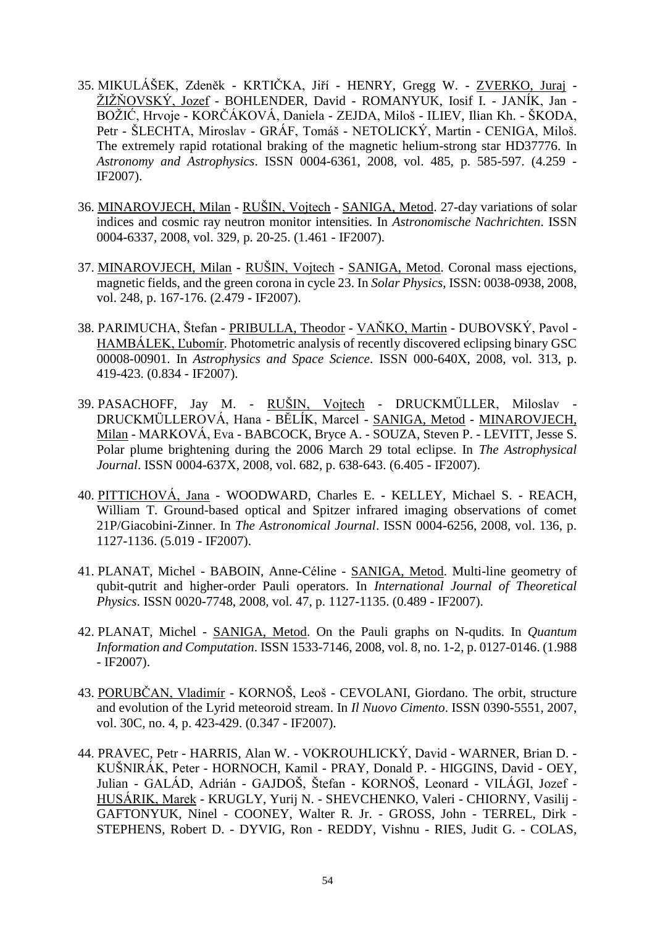- 35. MIKULÁŠEK, Zdeněk KRTIČKA, Jiří HENRY, Gregg W. ZVERKO, Juraj ŽIŽŇOVSKÝ, Jozef - BOHLENDER, David - ROMANYUK, Iosif I. - JANÍK, Jan -BOŽIĆ, Hrvoje - KORČÁKOVÁ, Daniela - ZEJDA, Miloš - ILIEV, Ilian Kh. - ŠKODA, Petr - ŠLECHTA, Miroslav - GRÁF, Tomáš - NETOLICKÝ, Martin - CENIGA, Miloš. The extremely rapid rotational braking of the magnetic helium-strong star HD37776. In *Astronomy and Astrophysics*. ISSN 0004-6361, 2008, vol. 485, p. 585-597. (4.259 - IF2007).
- 36. MINAROVJECH, Milan RUŠIN, Vojtech SANIGA, Metod. 27-day variations of solar indices and cosmic ray neutron monitor intensities. In *Astronomische Nachrichten*. ISSN 0004-6337, 2008, vol. 329, p. 20-25. (1.461 - IF2007).
- 37. MINAROVJECH, Milan RUŠIN, Vojtech SANIGA, Metod. Coronal mass ejections, magnetic fields, and the green corona in cycle 23. In *Solar Physics*, ISSN: 0038-0938, 2008, vol. 248, p. 167-176. (2.479 - IF2007).
- 38. PARIMUCHA, Štefan PRIBULLA, Theodor VAŅKO, Martin DUBOVSKÝ, Pavol HAMBÁLEK, Ľubomír. Photometric analysis of recently discovered eclipsing binary GSC 00008-00901. In *Astrophysics and Space Science*. ISSN 000-640X, 2008, vol. 313, p. 419-423. (0.834 - IF2007).
- 39. PASACHOFF, Jay M. RUŠIN, Vojtech DRUCKMÜLLER, Miloslav DRUCKMÜLLEROVÁ, Hana - BĔLÍK, Marcel - SANIGA, Metod - MINAROVJECH, Milan - MARKOVÁ, Eva - BABCOCK, Bryce A. - SOUZA, Steven P. - LEVITT, Jesse S. Polar plume brightening during the 2006 March 29 total eclipse. In *The Astrophysical Journal*. ISSN 0004-637X, 2008, vol. 682, p. 638-643. (6.405 - IF2007).
- 40. PITTICHOVÁ, Jana WOODWARD, Charles E. KELLEY, Michael S. REACH, William T. Ground-based optical and Spitzer infrared imaging observations of comet 21P/Giacobini-Zinner. In *The Astronomical Journal*. ISSN 0004-6256, 2008, vol. 136, p. 1127-1136. (5.019 - IF2007).
- 41. PLANAT, Michel BABOIN, Anne-Céline SANIGA, Metod. Multi-line geometry of qubit-qutrit and higher-order Pauli operators. In *International Journal of Theoretical Physics*. ISSN 0020-7748, 2008, vol. 47, p. 1127-1135. (0.489 - IF2007).
- 42. PLANAT, Michel SANIGA, Metod. On the Pauli graphs on N-qudits. In *Quantum Information and Computation*. ISSN 1533-7146, 2008, vol. 8, no. 1-2, p. 0127-0146. (1.988 - IF2007).
- 43. PORUBČAN, Vladimír KORNOŠ, Leoš CEVOLANI, Giordano. The orbit, structure and evolution of the Lyrid meteoroid stream. In *Il Nuovo Cimento*. ISSN 0390-5551, 2007, vol. 30C, no. 4, p. 423-429. (0.347 - IF2007).
- 44. PRAVEC, Petr HARRIS, Alan W. VOKROUHLICKÝ, David WARNER, Brian D. KUŠNIRÁK, Peter - HORNOCH, Kamil - PRAY, Donald P. - HIGGINS, David - OEY, Julian - GALÁD, Adrián - GAJDOŠ, Štefan - KORNOŠ, Leonard - VILÁGI, Jozef - HUSÁRIK, Marek - KRUGLY, Yurij N. - SHEVCHENKO, Valeri - CHIORNY, Vasilij - GAFTONYUK, Ninel - COONEY, Walter R. Jr. - GROSS, John - TERREL, Dirk - STEPHENS, Robert D. - DYVIG, Ron - REDDY, Vishnu - RIES, Judit G. - COLAS,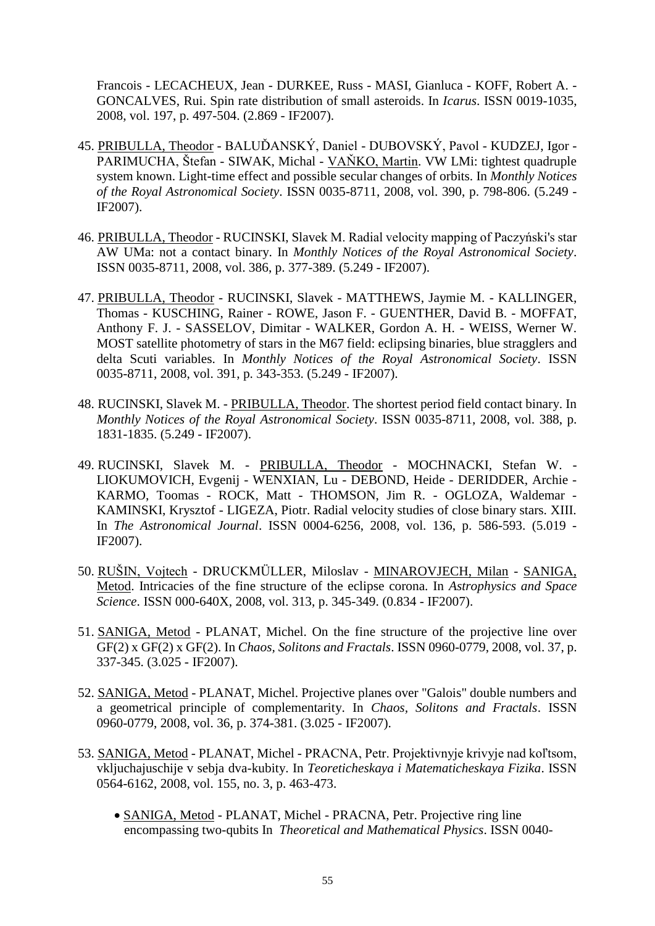Francois - LECACHEUX, Jean - DURKEE, Russ - MASI, Gianluca - KOFF, Robert A. - GONCALVES, Rui. Spin rate distribution of small asteroids. In *Icarus*. ISSN 0019-1035, 2008, vol. 197, p. 497-504. (2.869 - IF2007).

- 45. PRIBULLA, Theodor BALUĎANSKÝ, Daniel DUBOVSKÝ, Pavol KUDZEJ, Igor PARIMUCHA, Štefan - SIWAK, Michal - VAŇKO, Martin. VW LMi: tightest quadruple system known. Light-time effect and possible secular changes of orbits. In *Monthly Notices of the Royal Astronomical Society*. ISSN 0035-8711, 2008, vol. 390, p. 798-806. (5.249 - IF2007).
- 46. PRIBULLA, Theodor RUCINSKI, Slavek M. Radial velocity mapping of Paczyński's star AW UMa: not a contact binary. In *Monthly Notices of the Royal Astronomical Society*. ISSN 0035-8711, 2008, vol. 386, p. 377-389. (5.249 - IF2007).
- 47. PRIBULLA, Theodor RUCINSKI, Slavek MATTHEWS, Jaymie M. KALLINGER, Thomas - KUSCHING, Rainer - ROWE, Jason F. - GUENTHER, David B. - MOFFAT, Anthony F. J. - SASSELOV, Dimitar - WALKER, Gordon A. H. - WEISS, Werner W. MOST satellite photometry of stars in the M67 field: eclipsing binaries, blue stragglers and delta Scuti variables. In *Monthly Notices of the Royal Astronomical Society*. ISSN 0035-8711, 2008, vol. 391, p. 343-353. (5.249 - IF2007).
- 48. RUCINSKI, Slavek M. PRIBULLA, Theodor. The shortest period field contact binary. In *Monthly Notices of the Royal Astronomical Society*. ISSN 0035-8711, 2008, vol. 388, p. 1831-1835. (5.249 - IF2007).
- 49. RUCINSKI, Slavek M. PRIBULLA, Theodor MOCHNACKI, Stefan W. LIOKUMOVICH, Evgenij - WENXIAN, Lu - DEBOND, Heide - DERIDDER, Archie - KARMO, Toomas - ROCK, Matt - THOMSON, Jim R. - OGLOZA, Waldemar - KAMINSKI, Krysztof - LIGEZA, Piotr. Radial velocity studies of close binary stars. XIII. In *The Astronomical Journal*. ISSN 0004-6256, 2008, vol. 136, p. 586-593. (5.019 - IF2007).
- 50. RUŠIN, Vojtech DRUCKMÜLLER, Miloslav MINAROVJECH, Milan SANIGA, Metod. Intricacies of the fine structure of the eclipse corona. In *Astrophysics and Space Science*. ISSN 000-640X, 2008, vol. 313, p. 345-349. (0.834 - IF2007).
- 51. SANIGA, Metod PLANAT, Michel. On the fine structure of the projective line over GF(2) x GF(2) x GF(2). In *Chaos, Solitons and Fractals*. ISSN 0960-0779, 2008, vol. 37, p. 337-345. (3.025 - IF2007).
- 52. SANIGA, Metod PLANAT, Michel. Projective planes over "Galois" double numbers and a geometrical principle of complementarity. In *Chaos, Solitons and Fractals*. ISSN 0960-0779, 2008, vol. 36, p. 374-381. (3.025 - IF2007).
- 53. SANIGA, Metod PLANAT, Michel PRACNA, Petr. Projektivnyje krivyje nad koľtsom, vkljuchajuschije v sebja dva-kubity. In *Teoreticheskaya i Matematicheskaya Fizika*. ISSN 0564-6162, 2008, vol. 155, no. 3, p. 463-473.
	- SANIGA, Metod PLANAT, Michel PRACNA, Petr. Projective ring line encompassing two-qubits In *Theoretical and Mathematical Physics*. ISSN 0040-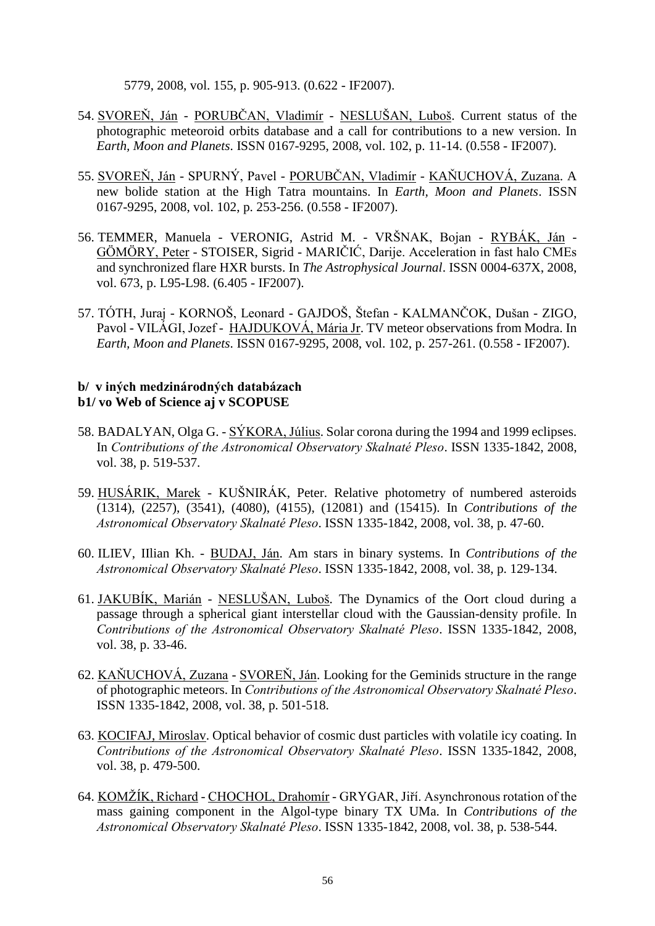5779, 2008, vol. 155, p. 905-913. (0.622 - IF2007).

- 54. SVOREŅ, Ján PORUBČAN, Vladimír NESLUŠAN, Luboš. Current status of the photographic meteoroid orbits database and a call for contributions to a new version. In *Earth, Moon and Planets*. ISSN 0167-9295, 2008, vol. 102, p. 11-14. (0.558 - IF2007).
- 55. SVOREŇ, Ján SPURNÝ, Pavel PORUBČAN, Vladimír KAŇUCHOVÁ, Zuzana. A new bolide station at the High Tatra mountains. In *Earth, Moon and Planets*. ISSN 0167-9295, 2008, vol. 102, p. 253-256. (0.558 - IF2007).
- 56. TEMMER, Manuela VERONIG, Astrid M. VRŠNAK, Bojan RYBÁK, Ján GÖMÖRY, Peter - STOISER, Sigrid - MARIČIĆ, Darije. Acceleration in fast halo CMEs and synchronized flare HXR bursts. In *The Astrophysical Journal*. ISSN 0004-637X, 2008, vol. 673, p. L95-L98. (6.405 - IF2007).
- 57. TÓTH, Juraj KORNOŠ, Leonard GAJDOŠ, Štefan KALMANČOK, Dušan ZIGO, Pavol - VILÁGI, Jozef - HAJDUKOVÁ, Mária Jr. TV meteor observations from Modra. In *Earth, Moon and Planets*. ISSN 0167-9295, 2008, vol. 102, p. 257-261. (0.558 - IF2007).

## **b/ v iných medzinárodných databázach b1/ vo Web of Science aj v SCOPUSE**

- 58. BADALYAN, Olga G. SÝKORA, Július. Solar corona during the 1994 and 1999 eclipses. In *Contributions of the Astronomical Observatory Skalnaté Pleso*. ISSN 1335-1842, 2008, vol. 38, p. 519-537.
- 59. HUSÁRIK, Marek KUŠNIRÁK, Peter. Relative photometry of numbered asteroids (1314), (2257), (3541), (4080), (4155), (12081) and (15415). In *Contributions of the Astronomical Observatory Skalnaté Pleso*. ISSN 1335-1842, 2008, vol. 38, p. 47-60.
- 60. ILIEV, IIlian Kh. BUDAJ, Ján. Am stars in binary systems. In *Contributions of the Astronomical Observatory Skalnaté Pleso*. ISSN 1335-1842, 2008, vol. 38, p. 129-134.
- 61. JAKUBÍK, Marián NESLUŠAN, Luboš. The Dynamics of the Oort cloud during a passage through a spherical giant interstellar cloud with the Gaussian-density profile. In *Contributions of the Astronomical Observatory Skalnaté Pleso*. ISSN 1335-1842, 2008, vol. 38, p. 33-46.
- 62. KAŅUCHOVÁ, Zuzana SVOREŅ, Ján. Looking for the Geminids structure in the range of photographic meteors. In *Contributions of the Astronomical Observatory Skalnaté Pleso*. ISSN 1335-1842, 2008, vol. 38, p. 501-518.
- 63. KOCIFAJ, Miroslav. Optical behavior of cosmic dust particles with volatile icy coating. In *Contributions of the Astronomical Observatory Skalnaté Pleso*. ISSN 1335-1842, 2008, vol. 38, p. 479-500.
- 64. KOMŽÍK, Richard CHOCHOL, Drahomír GRYGAR, Jiří. Asynchronous rotation of the mass gaining component in the Algol-type binary TX UMa. In *Contributions of the Astronomical Observatory Skalnaté Pleso*. ISSN 1335-1842, 2008, vol. 38, p. 538-544.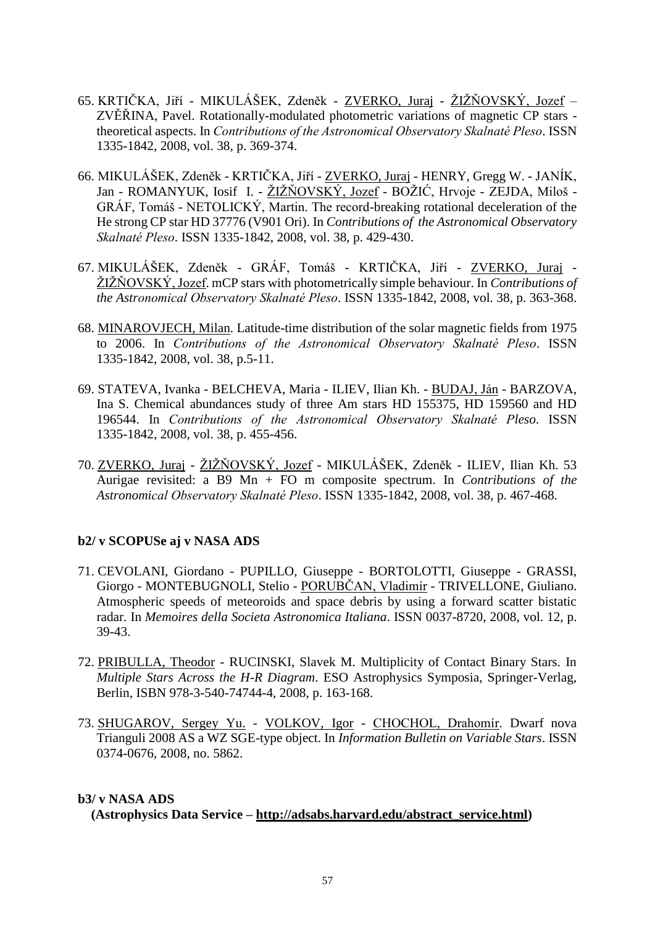- 65. KRTIČKA, Jiří MIKULÁŠEK, Zdeněk ZVERKO, Juraj ŽIŽŇOVSKÝ, Jozef ZVĚŘINA, Pavel. Rotationally-modulated photometric variations of magnetic CP stars theoretical aspects. In *Contributions of the Astronomical Observatory Skalnaté Pleso*. ISSN 1335-1842, 2008, vol. 38, p. 369-374.
- 66. MIKULÁŠEK, Zdeněk KRTIČKA, Jiří ZVERKO, Juraj HENRY, Gregg W. JANÍK, Jan - ROMANYUK, Iosif I. - ŽIŽŇOVSKÝ, Jozef - BOŽIĆ, Hrvoje - ZEJDA, Miloš -GRÁF, Tomáš - NETOLICKÝ, Martin. The record-breaking rotational deceleration of the He strong CP star HD 37776 (V901 Ori). In *Contributions of the Astronomical Observatory Skalnaté Pleso*. ISSN 1335-1842, 2008, vol. 38, p. 429-430.
- 67. MIKULÁŠEK, Zdeněk GRÁF, Tomáš KRTIČKA, Jiří ZVERKO, Juraj ŢIŢŅOVSKÝ, Jozef. mCP stars with photometrically simple behaviour. In *Contributions of the Astronomical Observatory Skalnaté Pleso*. ISSN 1335-1842, 2008, vol. 38, p. 363-368.
- 68. MINAROVJECH, Milan. Latitude-time distribution of the solar magnetic fields from 1975 to 2006. In *Contributions of the Astronomical Observatory Skalnaté Pleso*. ISSN 1335-1842, 2008, vol. 38, p.5-11.
- 69. STATEVA, Ivanka BELCHEVA, Maria ILIEV, Ilian Kh. BUDAJ, Ján BARZOVA, Ina S. Chemical abundances study of three Am stars HD 155375, HD 159560 and HD 196544. In *Contributions of the Astronomical Observatory Skalnaté Pleso*. ISSN 1335-1842, 2008, vol. 38, p. 455-456.
- 70. ZVERKO, Juraj ŽIŽŇOVSKÝ, Jozef MIKULÁŠEK, Zdeněk ILIEV, Ilian Kh. 53 Aurigae revisited: a B9 Mn + FO m composite spectrum. In *Contributions of the Astronomical Observatory Skalnaté Pleso*. ISSN 1335-1842, 2008, vol. 38, p. 467-468.

# **b2/ v SCOPUSe aj v NASA ADS**

- 71. CEVOLANI, Giordano PUPILLO, Giuseppe BORTOLOTTI, Giuseppe GRASSI, Giorgo - MONTEBUGNOLI, Stelio - PORUBČAN, Vladimír - TRIVELLONE, Giuliano. Atmospheric speeds of meteoroids and space debris by using a forward scatter bistatic radar. In *Memoires della Societa Astronomica Italiana*. ISSN 0037-8720, 2008, vol. 12, p. 39-43.
- 72. PRIBULLA, Theodor RUCINSKI, Slavek M. Multiplicity of Contact Binary Stars. In *Multiple Stars Across the H-R Diagram*. ESO Astrophysics Symposia, Springer-Verlag, Berlin, ISBN 978-3-540-74744-4, 2008, p. 163-168.
- 73. SHUGAROV, Sergey Yu. VOLKOV, Igor CHOCHOL, Drahomír. Dwarf nova Trianguli 2008 AS a WZ SGE-type object. In *Information Bulletin on Variable Stars*. ISSN 0374-0676, 2008, no. 5862.

### **b3/ v NASA ADS**

 **(Astrophysics Data Service – [http://adsabs.harvard.edu/abstract\\_service.html\)](http://adsabs.harvard.edu/abstract_service.html)**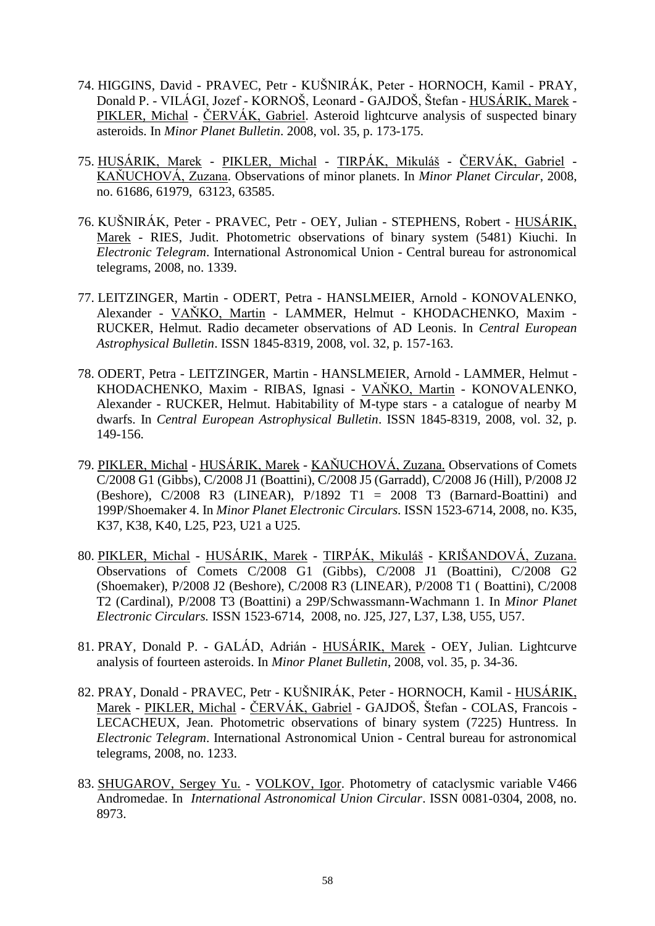- 74. HIGGINS, David PRAVEC, Petr KUŠNIRÁK, Peter HORNOCH, Kamil PRAY, Donald P. - VILÁGI, Jozef - KORNOŠ, Leonard - GAJDOŠ, Štefan - HUSÁRIK, Marek - PIKLER, Michal - ČERVÁK, Gabriel. Asteroid lightcurve analysis of suspected binary asteroids. In *Minor Planet Bulletin*. 2008, vol. 35, p. 173-175.
- 75. HUSÁRIK, Marek PIKLER, Michal TIRPÁK, Mikuláš ČERVÁK, Gabriel KAŅUCHOVÁ, Zuzana. Observations of minor planets. In *Minor Planet Circular*, 2008, no. 61686, 61979, 63123, 63585.
- 76. KUŠNIRÁK, Peter PRAVEC, Petr OEY, Julian STEPHENS, Robert HUSÁRIK, Marek - RIES, Judit. Photometric observations of binary system (5481) Kiuchi. In *Electronic Telegram*. International Astronomical Union - Central bureau for astronomical telegrams, 2008, no. 1339.
- 77. LEITZINGER, Martin ODERT, Petra HANSLMEIER, Arnold KONOVALENKO, Alexander - VAŅKO, Martin - LAMMER, Helmut - KHODACHENKO, Maxim - RUCKER, Helmut. Radio decameter observations of AD Leonis. In *Central European Astrophysical Bulletin*. ISSN 1845-8319, 2008, vol. 32, p. 157-163.
- 78. ODERT, Petra LEITZINGER, Martin HANSLMEIER, Arnold LAMMER, Helmut KHODACHENKO, Maxim - RIBAS, Ignasi - VAŅKO, Martin - KONOVALENKO, Alexander - RUCKER, Helmut. Habitability of M-type stars - a catalogue of nearby M dwarfs. In *Central European Astrophysical Bulletin*. ISSN 1845-8319, 2008, vol. 32, p. 149-156.
- 79. PIKLER, Michal HUSÁRIK, Marek KAŅUCHOVÁ, Zuzana. Observations of Comets C/2008 G1 (Gibbs), C/2008 J1 (Boattini), C/2008 J5 (Garradd), C/2008 J6 (Hill), P/2008 J2 (Beshore),  $C/2008$  R3 (LINEAR),  $P/1892$  T1 = 2008 T3 (Barnard-Boattini) and 199P/Shoemaker 4. In *Minor Planet Electronic Circulars.* ISSN 1523-6714, 2008, no. K35, K37, K38, K40, L25, P23, U21 a U25.
- 80. PIKLER, Michal HUSÁRIK, Marek TIRPÁK, Mikuláš KRIŠANDOVÁ, Zuzana. Observations of Comets C/2008 G1 (Gibbs), C/2008 J1 (Boattini), C/2008 G2 (Shoemaker), P/2008 J2 (Beshore), C/2008 R3 (LINEAR), P/2008 T1 ( Boattini), C/2008 T2 (Cardinal), P/2008 T3 (Boattini) a 29P/Schwassmann-Wachmann 1. In *Minor Planet Electronic Circulars.* ISSN 1523-6714, 2008, no. J25, J27, L37, L38, U55, U57.
- 81. PRAY, Donald P. GALÁD, Adrián HUSÁRIK, Marek OEY, Julian. Lightcurve analysis of fourteen asteroids. In *Minor Planet Bulletin*, 2008, vol. 35, p. 34-36.
- 82. PRAY, Donald PRAVEC, Petr KUŠNIRÁK, Peter HORNOCH, Kamil HUSÁRIK, Marek - PIKLER, Michal - ČERVÁK, Gabriel - GAJDOŠ, Štefan - COLAS, Francois - LECACHEUX, Jean. Photometric observations of binary system (7225) Huntress. In *Electronic Telegram*. International Astronomical Union - Central bureau for astronomical telegrams, 2008, no. 1233.
- 83. SHUGAROV, Sergey Yu. VOLKOV, Igor. Photometry of cataclysmic variable V466 Andromedae. In *International Astronomical Union Circular*. ISSN 0081-0304, 2008, no. 8973.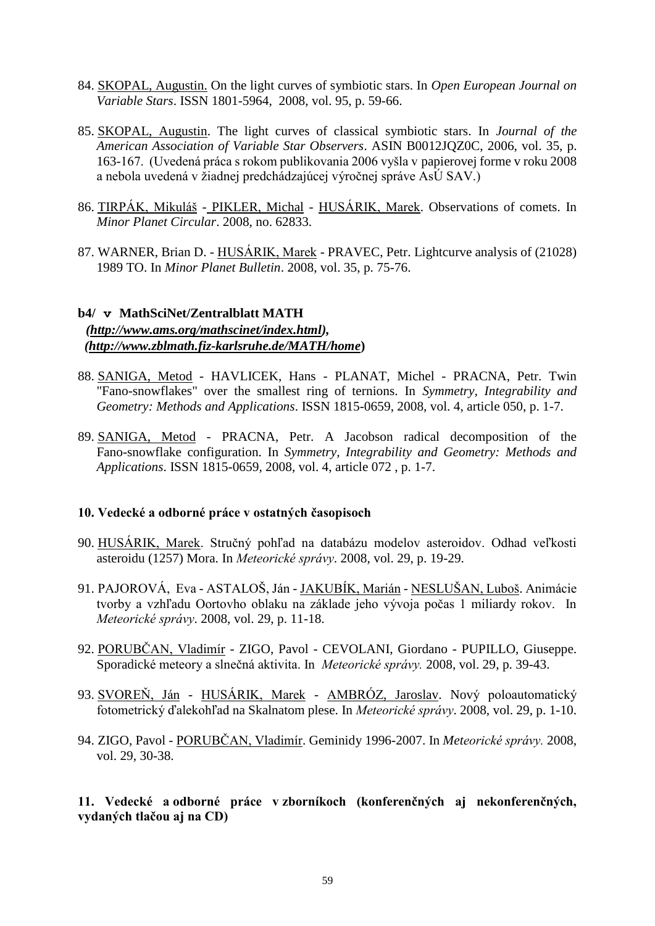- 84. SKOPAL, Augustin. On the light curves of symbiotic stars. In *Open European Journal on Variable Stars*. ISSN 1801-5964, 2008, vol. 95, p. 59-66.
- 85. SKOPAL, Augustin. The light curves of classical symbiotic stars. In *Journal of the American Association of Variable Star Observers*. ASIN B0012JQZ0C, 2006, vol. 35, p. 163-167. (Uvedená práca s rokom publikovania 2006 vyšla v papierovej forme v roku 2008 a nebola uvedená v žiadnej predchádzajúcej výročnej správe AsÚ SAV.)
- 86. TIRPÁK, Mikuláš PIKLER, Michal HUSÁRIK, Marek. Observations of comets. In *Minor Planet Circular*. 2008, no. 62833.
- 87. WARNER, Brian D. HUSÁRIK, Marek PRAVEC, Petr. Lightcurve analysis of (21028) 1989 TO. In *Minor Planet Bulletin*. 2008, vol. 35, p. 75-76.

# **b4/ v MathSciNet/Zentralblatt MATH** *(http://www.ams.org/mathscinet/index.html), (http://www.zblmath.fiz-karlsruhe.de/MATH/home***)**

- 88. SANIGA, Metod HAVLICEK, Hans PLANAT, Michel PRACNA, Petr. Twin "Fano-snowflakes" over the smallest ring of ternions. In *Symmetry, Integrability and Geometry: Methods and Applications*. ISSN 1815-0659, 2008, vol. 4, article 050, p. 1-7.
- 89. SANIGA, Metod PRACNA, Petr. A Jacobson radical decomposition of the Fano-snowflake configuration. In *Symmetry, Integrability and Geometry: Methods and Applications*. ISSN 1815-0659, 2008, vol. 4, article 072 , p. 1-7.

### **10. Vedecké a odborné práce v ostatných časopisoch**

- 90. HUSÁRIK, Marek. Stručný pohľad na databázu modelov asteroidov. Odhad veľkosti asteroidu (1257) Mora. In *Meteorické správy*. 2008, vol. 29, p. 19-29.
- 91. PAJOROVÁ, Eva ASTALOŠ, Ján JAKUBÍK, Marián NESLUŠAN, Luboš. Animácie tvorby a vzhľadu Oortovho oblaku na základe jeho vývoja počas 1 miliardy rokov. In *Meteorické správy*. 2008, vol. 29, p. 11-18.
- 92. PORUBČAN, Vladimír ZIGO, Pavol CEVOLANI, Giordano PUPILLO, Giuseppe. Sporadické meteory a slnečná aktivita. In *Meteorické správy.* 2008, vol. 29, p. 39-43.
- 93. SVOREŇ, Ján HUSÁRIK, Marek AMBRÓZ, Jaroslav. Nový poloautomatický fotometrický ďalekohľad na Skalnatom plese. In *Meteorické správy*. 2008, vol. 29, p. 1-10.
- 94. ZIGO, Pavol PORUBČAN, Vladimír. Geminidy 1996-2007. In *Meteorické správy.* 2008, vol. 29, 30-38.

# **11. Vedecké a odborné práce v zborníkoch (konferenčných aj nekonferenčných, vydaných tlačou aj na CD)**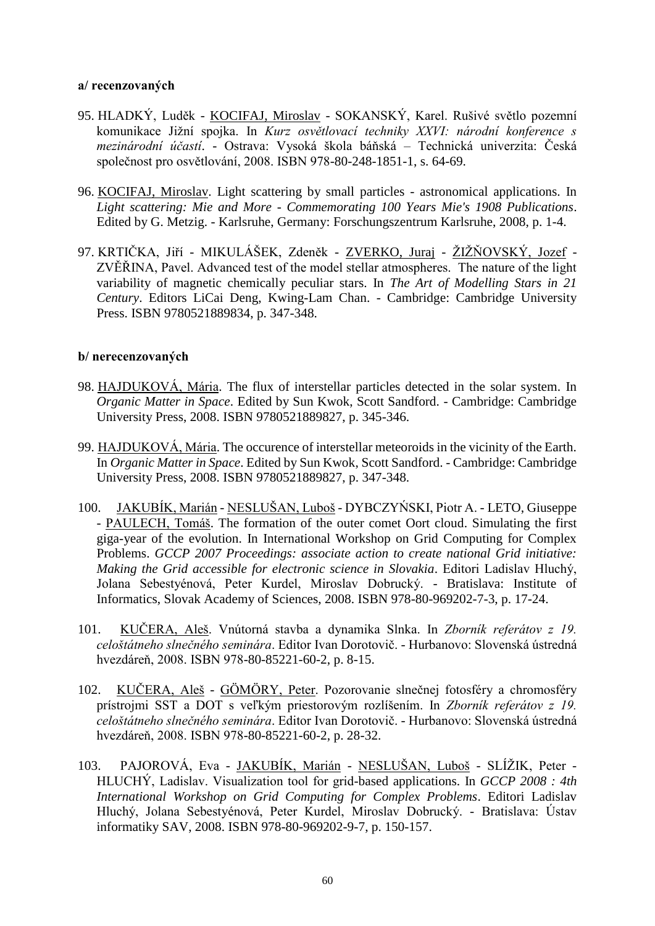### **a/ recenzovaných**

- 95. HLADKÝ, Luděk KOCIFAJ, Miroslav SOKANSKÝ, Karel. Rušivé světlo pozemní komunikace Jižní spojka. In *Kurz osvětlovací techniky XXVI: národní konference s mezinárodní účastí*. - Ostrava: Vysoká škola báņská – Technická univerzita: Česká společnost pro osvětlování, 2008. ISBN 978-80-248-1851-1, s. 64-69.
- 96. KOCIFAJ, Miroslav. Light scattering by small particles astronomical applications. In *Light scattering: Mie and More - Commemorating 100 Years Mie's 1908 Publications*. Edited by G. Metzig. - Karlsruhe, Germany: Forschungszentrum Karlsruhe, 2008, p. 1-4.
- 97. KRTIČKA, Jiří MIKULÁŠEK, Zdeněk ZVERKO, Juraj ŽIŽŇOVSKÝ, Jozef -ZVĚŘINA, Pavel. Advanced test of the model stellar atmospheres. The nature of the light variability of magnetic chemically peculiar stars. In *The Art of Modelling Stars in 21 Century*. Editors LiCai Deng, Kwing-Lam Chan. - Cambridge: Cambridge University Press. ISBN 9780521889834, p. 347-348.

### **b/ nerecenzovaných**

- 98. HAJDUKOVÁ, Mária. The flux of interstellar particles detected in the solar system. In *Organic Matter in Space*. Edited by Sun Kwok, Scott Sandford. - Cambridge: Cambridge University Press, 2008. ISBN 9780521889827, p. 345-346.
- 99. HAJDUKOVÁ, Mária. The occurence of interstellar meteoroids in the vicinity of the Earth. In *Organic Matter in Space*. Edited by Sun Kwok, Scott Sandford. - Cambridge: Cambridge University Press, 2008. ISBN 9780521889827, p. 347-348.
- 100. JAKUBÍK, Marián NESLUŠAN, Luboš DYBCZYŃSKI, Piotr A. LETO, Giuseppe - PAULECH, Tomáš. The formation of the outer comet Oort cloud. Simulating the first giga-year of the evolution. In International Workshop on Grid Computing for Complex Problems. *GCCP 2007 Proceedings: associate action to create national Grid initiative: Making the Grid accessible for electronic science in Slovakia*. Editori Ladislav Hluchý, Jolana Sebestyénová, Peter Kurdel, Miroslav Dobrucký. - Bratislava: Institute of Informatics, Slovak Academy of Sciences, 2008. ISBN 978-80-969202-7-3, p. 17-24.
- 101. KUČERA, Aleš. Vnútorná stavba a dynamika Slnka. In *Zborník referátov z 19. celoštátneho slnečného seminára*. Editor Ivan Dorotovič. - Hurbanovo: Slovenská ústredná hvezdáreņ, 2008. ISBN 978-80-85221-60-2, p. 8-15.
- 102. KUČERA, Aleš GÖMÖRY, Peter. Pozorovanie slnečnej fotosféry a chromosféry prístrojmi SST a DOT s veľkým priestorovým rozlíšením. In *Zborník referátov z 19. celoštátneho slnečného seminára*. Editor Ivan Dorotovič. - Hurbanovo: Slovenská ústredná hvezdáreņ, 2008. ISBN 978-80-85221-60-2, p. 28-32.
- 103. PAJOROVÁ, Eva JAKUBÍK, Marián NESLUŠAN, Luboš SLÍŽIK, Peter -HLUCHÝ, Ladislav. Visualization tool for grid-based applications. In *GCCP 2008 : 4th International Workshop on Grid Computing for Complex Problems*. Editori Ladislav Hluchý, Jolana Sebestyénová, Peter Kurdel, Miroslav Dobrucký. - Bratislava: Ústav informatiky SAV, 2008. ISBN 978-80-969202-9-7, p. 150-157.